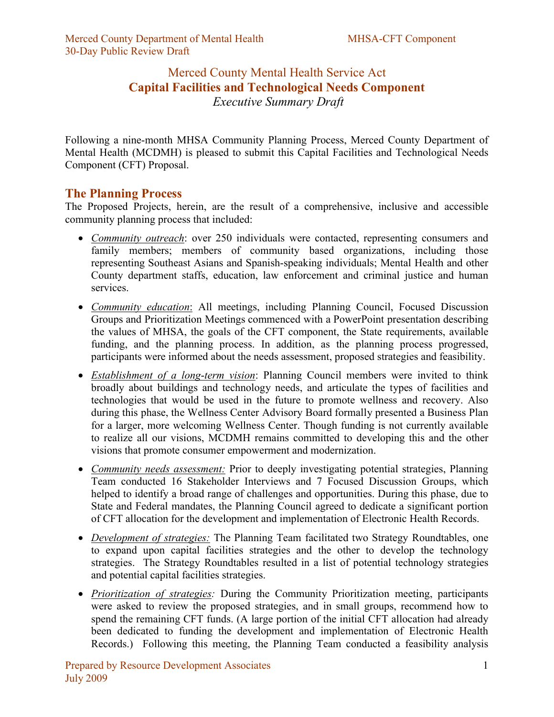## Merced County Mental Health Service Act **Capital Facilities and Technological Needs Component** *Executive Summary Draft*

Following a nine-month MHSA Community Planning Process, Merced County Department of Mental Health (MCDMH) is pleased to submit this Capital Facilities and Technological Needs Component (CFT) Proposal.

## **The Planning Process**

The Proposed Projects, herein, are the result of a comprehensive, inclusive and accessible community planning process that included:

- *Community outreach*: over 250 individuals were contacted, representing consumers and family members; members of community based organizations, including those representing Southeast Asians and Spanish-speaking individuals; Mental Health and other County department staffs, education, law enforcement and criminal justice and human services.
- *Community education*: All meetings, including Planning Council, Focused Discussion Groups and Prioritization Meetings commenced with a PowerPoint presentation describing the values of MHSA, the goals of the CFT component, the State requirements, available funding, and the planning process. In addition, as the planning process progressed, participants were informed about the needs assessment, proposed strategies and feasibility.
- *Establishment of a long*-*term vision*: Planning Council members were invited to think broadly about buildings and technology needs, and articulate the types of facilities and technologies that would be used in the future to promote wellness and recovery. Also during this phase, the Wellness Center Advisory Board formally presented a Business Plan for a larger, more welcoming Wellness Center. Though funding is not currently available to realize all our visions, MCDMH remains committed to developing this and the other visions that promote consumer empowerment and modernization.
- *Community needs assessment:* Prior to deeply investigating potential strategies, Planning Team conducted 16 Stakeholder Interviews and 7 Focused Discussion Groups, which helped to identify a broad range of challenges and opportunities. During this phase, due to State and Federal mandates, the Planning Council agreed to dedicate a significant portion of CFT allocation for the development and implementation of Electronic Health Records.
- *Development of strategies:* The Planning Team facilitated two Strategy Roundtables, one to expand upon capital facilities strategies and the other to develop the technology strategies. The Strategy Roundtables resulted in a list of potential technology strategies and potential capital facilities strategies.
- *Prioritization of strategies:* During the Community Prioritization meeting, participants were asked to review the proposed strategies, and in small groups, recommend how to spend the remaining CFT funds. (A large portion of the initial CFT allocation had already been dedicated to funding the development and implementation of Electronic Health Records.) Following this meeting, the Planning Team conducted a feasibility analysis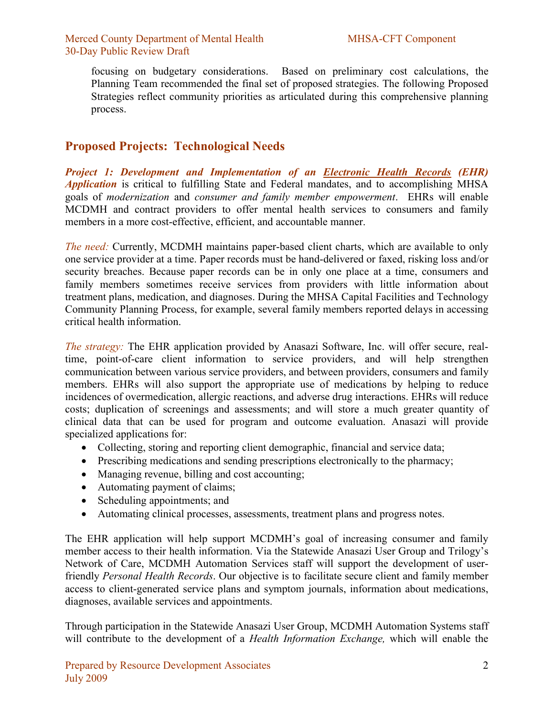focusing on budgetary considerations. Based on preliminary cost calculations, the Planning Team recommended the final set of proposed strategies. The following Proposed Strategies reflect community priorities as articulated during this comprehensive planning process.

## **Proposed Projects: Technological Needs**

*Project 1: Development and Implementation of an Electronic Health Records (EHR) Application* is critical to fulfilling State and Federal mandates, and to accomplishing MHSA goals of *modernization* and *consumer and family member empowerment*. EHRs will enable MCDMH and contract providers to offer mental health services to consumers and family members in a more cost-effective, efficient, and accountable manner.

*The need:* Currently, MCDMH maintains paper-based client charts, which are available to only one service provider at a time. Paper records must be hand-delivered or faxed, risking loss and/or security breaches. Because paper records can be in only one place at a time, consumers and family members sometimes receive services from providers with little information about treatment plans, medication, and diagnoses. During the MHSA Capital Facilities and Technology Community Planning Process, for example, several family members reported delays in accessing critical health information.

*The strategy:* The EHR application provided by Anasazi Software, Inc. will offer secure, realtime, point-of-care client information to service providers, and will help strengthen communication between various service providers, and between providers, consumers and family members. EHRs will also support the appropriate use of medications by helping to reduce incidences of overmedication, allergic reactions, and adverse drug interactions. EHRs will reduce costs; duplication of screenings and assessments; and will store a much greater quantity of clinical data that can be used for program and outcome evaluation. Anasazi will provide specialized applications for:

- Collecting, storing and reporting client demographic, financial and service data;
- Prescribing medications and sending prescriptions electronically to the pharmacy;
- Managing revenue, billing and cost accounting;
- Automating payment of claims;
- Scheduling appointments; and
- Automating clinical processes, assessments, treatment plans and progress notes.

The EHR application will help support MCDMH's goal of increasing consumer and family member access to their health information. Via the Statewide Anasazi User Group and Trilogy's Network of Care, MCDMH Automation Services staff will support the development of userfriendly *Personal Health Records*. Our objective is to facilitate secure client and family member access to client-generated service plans and symptom journals, information about medications, diagnoses, available services and appointments.

Through participation in the Statewide Anasazi User Group, MCDMH Automation Systems staff will contribute to the development of a *Health Information Exchange,* which will enable the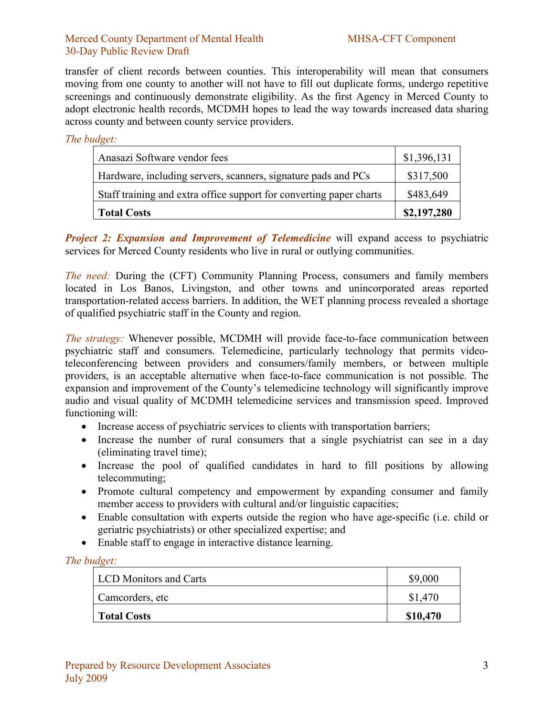### Merced County Department of Mental Health MHSA-CFT Component 30-Day Public Review Draft

transfer of client records between counties. This interoperability will mean that consumers moving from one county to another will not have to fill out duplicate forms, undergo repetitive screenings and continuously demonstrate eligibility. As the first Agency in Merced County to adopt electronic health records, MCDMH hopes to lead the way towards increased data sharing across county and between county service providers.

### *The budget:*

| Anasazi Software vendor fees                                        | \$1,396,131 |
|---------------------------------------------------------------------|-------------|
| Hardware, including servers, scanners, signature pads and PCs       | \$317,500   |
| Staff training and extra office support for converting paper charts | \$483,649   |
| Total Costs                                                         | \$2,197,280 |

*Project 2: Expansion and Improvement of Telemedicine* will expand access to psychiatric services for Merced County residents who live in rural or outlying communities.

*The need:* During the (CFT) Community Planning Process, consumers and family members located in Los Banos, Livingston, and other towns and unincorporated areas reported transportation-related access barriers. In addition, the WET planning process revealed a shortage of qualified psychiatric staff in the County and region.

*The strategy:* Whenever possible, MCDMH will provide face-to-face communication between psychiatric staff and consumers. Telemedicine, particularly technology that permits videoteleconferencing between providers and consumers/family members, or between multiple providers, is an acceptable alternative when face-to-face communication is not possible. The expansion and improvement of the County's telemedicine technology will significantly improve audio and visual quality of MCDMH telemedicine services and transmission speed. Improved functioning will:

- Increase access of psychiatric services to clients with transportation barriers;
- Increase the number of rural consumers that a single psychiatrist can see in a day (eliminating travel time);
- Increase the pool of qualified candidates in hard to fill positions by allowing telecommuting;
- Promote cultural competency and empowerment by expanding consumer and family member access to providers with cultural and/or linguistic capacities;
- Enable consultation with experts outside the region who have age-specific (i.e. child or geriatric psychiatrists) or other specialized expertise; and
- Enable staff to engage in interactive distance learning.

*The budget:*

| <b>LCD</b> Monitors and Carts | \$9,000  |
|-------------------------------|----------|
| Camcorders, etc               | \$1,470  |
| <b>Total Costs</b>            | \$10,470 |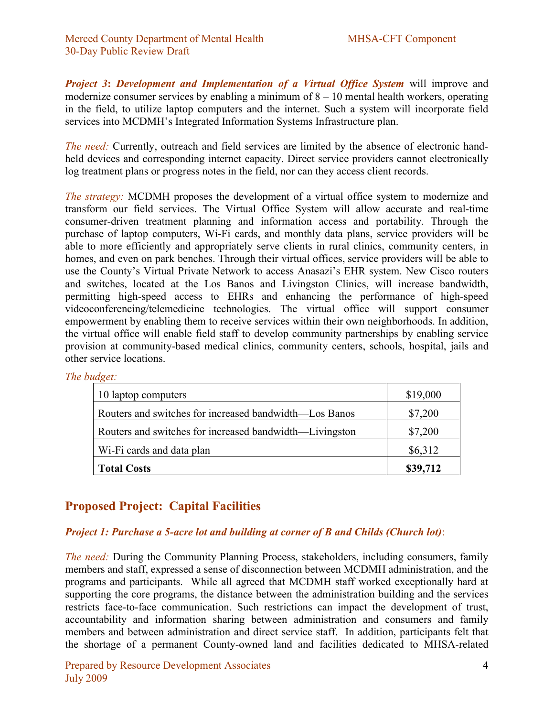*Project 3***:** *Development and Implementation of a Virtual Office System* will improve and modernize consumer services by enabling a minimum of  $8 - 10$  mental health workers, operating in the field, to utilize laptop computers and the internet. Such a system will incorporate field services into MCDMH's Integrated Information Systems Infrastructure plan.

*The need:* Currently, outreach and field services are limited by the absence of electronic handheld devices and corresponding internet capacity. Direct service providers cannot electronically log treatment plans or progress notes in the field, nor can they access client records.

*The strategy:* MCDMH proposes the development of a virtual office system to modernize and transform our field services. The Virtual Office System will allow accurate and real-time consumer-driven treatment planning and information access and portability. Through the purchase of laptop computers, Wi-Fi cards, and monthly data plans, service providers will be able to more efficiently and appropriately serve clients in rural clinics, community centers, in homes, and even on park benches. Through their virtual offices, service providers will be able to use the County's Virtual Private Network to access Anasazi's EHR system. New Cisco routers and switches, located at the Los Banos and Livingston Clinics, will increase bandwidth, permitting high-speed access to EHRs and enhancing the performance of high-speed videoconferencing/telemedicine technologies. The virtual office will support consumer empowerment by enabling them to receive services within their own neighborhoods. In addition, the virtual office will enable field staff to develop community partnerships by enabling service provision at community-based medical clinics, community centers, schools, hospital, jails and other service locations.

| The budget: |
|-------------|
|             |

| 10 laptop computers                                     | \$19,000 |
|---------------------------------------------------------|----------|
| Routers and switches for increased bandwidth—Los Banos  | \$7,200  |
| Routers and switches for increased bandwidth—Livingston | \$7,200  |
| Wi-Fi cards and data plan                               | \$6,312  |
| <b>Total Costs</b>                                      | \$39,712 |

# **Proposed Project: Capital Facilities**

## *Project 1: Purchase a 5-acre lot and building at corner of B and Childs (Church lot)*:

*The need:* During the Community Planning Process, stakeholders, including consumers, family members and staff, expressed a sense of disconnection between MCDMH administration, and the programs and participants. While all agreed that MCDMH staff worked exceptionally hard at supporting the core programs, the distance between the administration building and the services restricts face-to-face communication. Such restrictions can impact the development of trust, accountability and information sharing between administration and consumers and family members and between administration and direct service staff. In addition, participants felt that the shortage of a permanent County-owned land and facilities dedicated to MHSA-related